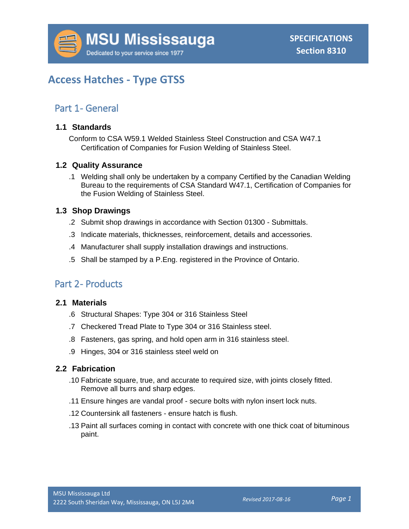

# **Access Hatches - Type GTSS**

# Part 1 - General

#### **1.1 Standards**

Conform to CSA W59.1 Welded Stainless Steel Construction and CSA W47.1 Certification of Companies for Fusion Welding of Stainless Steel.

### **1.2 Quality Assurance**

.1 Welding shall only be undertaken by a company Certified by the Canadian Welding Bureau to the requirements of CSA Standard W47.1, Certification of Companies for the Fusion Welding of Stainless Steel.

#### **1.3 Shop Drawings**

- .2 Submit shop drawings in accordance with Section 01300 Submittals.
- .3 Indicate materials, thicknesses, reinforcement, details and accessories.
- .4 Manufacturer shall supply installation drawings and instructions.
- .5 Shall be stamped by a P.Eng. registered in the Province of Ontario.

# Part 2- Products

#### **2.1 Materials**

- .6 Structural Shapes: Type 304 or 316 Stainless Steel
- .7 Checkered Tread Plate to Type 304 or 316 Stainless steel.
- .8 Fasteners, gas spring, and hold open arm in 316 stainless steel.
- .9 Hinges, 304 or 316 stainless steel weld on

#### **2.2 Fabrication**

- .10 Fabricate square, true, and accurate to required size, with joints closely fitted. Remove all burrs and sharp edges.
- .11 Ensure hinges are vandal proof secure bolts with nylon insert lock nuts.
- .12 Countersink all fasteners ensure hatch is flush.
- .13 Paint all surfaces coming in contact with concrete with one thick coat of bituminous paint.